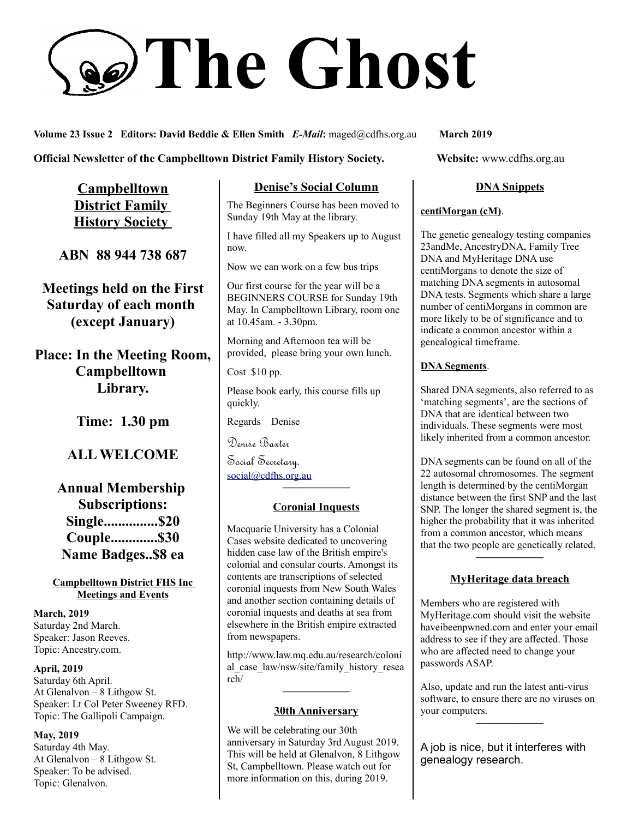# **The Ghost**

**Volume 23 Issue 2 Editors: David Beddie & Ellen Smith** *E-Mail***:** maged@cdfhs.org.au **March 2019**

#### **Official Newsletter of the Campbelltown District Family History Society. Website: www.cdfhs.org.au**

**Campbelltown District Family History Society** 

**ABN 88 944 738 687**

**Meetings held on the First Saturday of each month (except January)**

**Place: In the Meeting Room, Campbelltown Library.**

**Time: 1.30 pm**

# **ALL WELCOME**

**Annual Membership Subscriptions: Single...............\$20 Couple.............\$30 Name Badges..\$8 ea**

**Campbelltown District FHS Inc Meetings and Events**

**March, 2019** Saturday 2nd March. Speaker: Jason Reeves. Topic: Ancestry.com.

#### **April, 2019** Saturday 6th April. At Glenalvon – 8 Lithgow St. Speaker: Lt Col Peter Sweeney RFD. Topic: The Gallipoli Campaign.

#### **May, 2019** Saturday 4th May. At Glenalvon – 8 Lithgow St. Speaker: To be advised. Topic: Glenalvon.

#### **Denise's Social Column**

The Beginners Course has been moved to Sunday 19th May at the library.

I have filled all my Speakers up to August now.

Now we can work on a few bus trips

Our first course for the year will be a BEGINNERS COURSE for Sunday 19th May. In Campbelltown Library, room one at 10.45am. - 3.30pm.

Morning and Afternoon tea will be provided, please bring your own lunch.

Cost \$10 pp.

Please book early, this course fills up quickly.

Regards Denise

Denise Baxter

Social Secretary. [social@cdfhs.org.au](mailto:social@cdfhs.org.au)

# **——————– Coronial Inquests**

Macquarie University has a Colonial Cases website dedicated to uncovering hidden case law of the British empire's colonial and consular courts. Amongst its contents are transcriptions of selected coronial inquests from New South Wales and another section containing details of coronial inquests and deaths at sea from elsewhere in the British empire extracted from newspapers.

http://www.law.mq.edu.au/research/coloni al\_case\_law/nsw/site/family\_history\_resea rch/

# **——————– 30th Anniversary**

We will be celebrating our 30th anniversary in Saturday 3rd August 2019. This will be held at Glenalvon, 8 Lithgow St, Campbelltown. Please watch out for more information on this, during 2019.

#### **DNA Snippets**

#### **centiMorgan (cM)**.

The genetic genealogy testing companies 23andMe, AncestryDNA, Family Tree DNA and MyHeritage DNA use centiMorgans to denote the size of matching DNA segments in autosomal DNA tests. Segments which share a large number of centiMorgans in common are more likely to be of significance and to indicate a common ancestor within a genealogical timeframe.

#### **DNA Segments**.

Shared DNA segments, also referred to as 'matching segments', are the sections of DNA that are identical between two individuals. These segments were most likely inherited from a common ancestor.

DNA segments can be found on all of the 22 autosomal chromosomes. The segment length is determined by the centiMorgan distance between the first SNP and the last SNP. The longer the shared segment is, the higher the probability that it was inherited from a common ancestor, which means that the two people are genetically related.

#### **MyHeritage data breach**

**——————–**

Members who are registered with MyHeritage.com should visit the website haveibeenpwned.com and enter your email address to see if they are affected. Those who are affected need to change your passwords ASAP.

Also, update and run the latest anti-virus software, to ensure there are no viruses on your computers.

**——————–**

A job is nice, but it interferes with genealogy research.